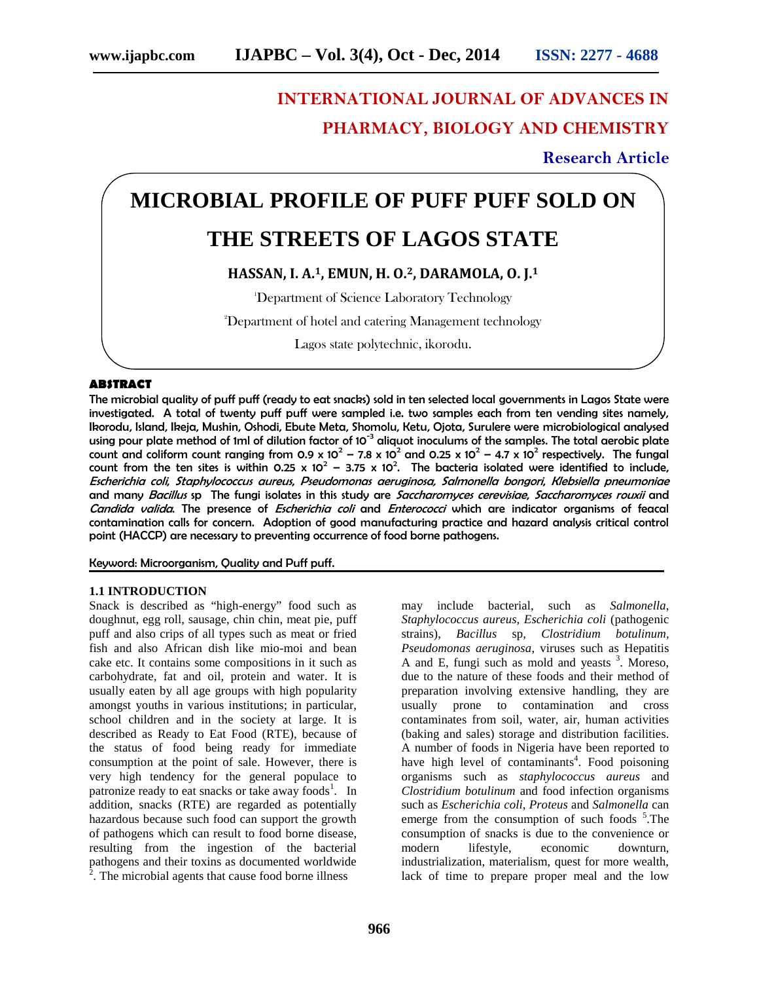# **INTERNATIONAL JOURNAL OF ADVANCES IN PHARMACY, BIOLOGY AND CHEMISTRY**

**Research Article**

# **MICROBIAL PROFILE OF PUFF PUFF SOLD ON THE STREETS OF LAGOS STATE**

# **HASSAN, I. A.1, EMUN, H. O.2, DARAMOLA, O. J.<sup>1</sup>**

<sup>1</sup>Department of Science Laboratory Technology

<sup>2</sup>Department of hotel and catering Management technology

Lagos state polytechnic, ikorodu.

## **ABSTRACT**

The microbial quality of puff puff (ready to eat snacks) sold in ten selected local governments in Lagos State were investigated. A total of twenty puff puff were sampled i.e. two samples each from ten vending sites namely, Ikorodu, Island, Ikeja, Mushin, Oshodi, Ebute Meta, Shomolu, Ketu, Ojota, Surulere were microbiological analysed using pour plate method of 1ml of dilution factor of 10<sup>-3</sup> aliquot inoculums of the samples. The total aerobic plate count and coliform count ranging from 0.9 x  $10^2$  – 7.8 x  $10^2$  and 0.25 x  $10^2$  – 4.7 x  $10^2$  respectively. The fungal count from the ten sites is within 0.25 x 10<sup>2</sup> – 3.75 x 10<sup>2</sup>. The bacteria isolated were identified to include, *Escherichia coli*, *Staphylococcus aureus*, *Pseudomonas aeruginosa, Salmonella bongori*, *Klebsiella pneumoniae* and many *Bacillus* sp The fungi isolates in this study are *Saccharomyces cerevisiae*, *Saccharomyces rouxii* and *Candida valida*. The presence of *Escherichia coli* and *Enterococci* which are indicator organisms of feacal contamination calls for concern. Adoption of good manufacturing practice and hazard analysis critical control point (HACCP) are necessary to preventing occurrence of food borne pathogens.

Keyword: Microorganism, Quality and Puff puff.

## **1.1 INTRODUCTION**

Snack is described as "high-energy" food such as doughnut, egg roll, sausage, chin chin, meat pie, puff puff and also crips of all types such as meat or fried fish and also African dish like mio-moi and bean cake etc. It contains some compositions in it such as carbohydrate, fat and oil, protein and water. It is usually eaten by all age groups with high popularity amongst youths in various institutions; in particular, school children and in the society at large. It is described as Ready to Eat Food (RTE), because of the status of food being ready for immediate consumption at the point of sale. However, there is very high tendency for the general populace to patronize ready to eat snacks or take away foods<sup>1</sup>. In addition, snacks (RTE) are regarded as potentially hazardous because such food can support the growth of pathogens which can result to food borne disease, resulting from the ingestion of the bacterial pathogens and their toxins as documented worldwide <sup>2</sup>. The microbial agents that cause food borne illness

may include bacterial, such as *Salmonella*, *Staphylococcus aureus, Escherichia coli* (pathogenic strains), *Bacillus* sp*, Clostridium botulinum, Pseudomonas aeruginosa*, viruses such as Hepatitis A and E, fungi such as mold and yeasts  $3$ . Moreso, due to the nature of these foods and their method of preparation involving extensive handling, they are usually prone to contamination and cross contaminates from soil, water, air, human activities (baking and sales) storage and distribution facilities. A number of foods in Nigeria have been reported to have high level of contaminants<sup>4</sup>. Food poisoning organisms such as *staphylococcus aureus* and *Clostridium botulinum* and food infection organisms such as *Escherichia coli*, *Proteus* and *Salmonella* can emerge from the consumption of such foods <sup>5</sup>. The consumption of snacks is due to the convenience or modern lifestyle, economic downturn, industrialization, materialism, quest for more wealth, lack of time to prepare proper meal and the low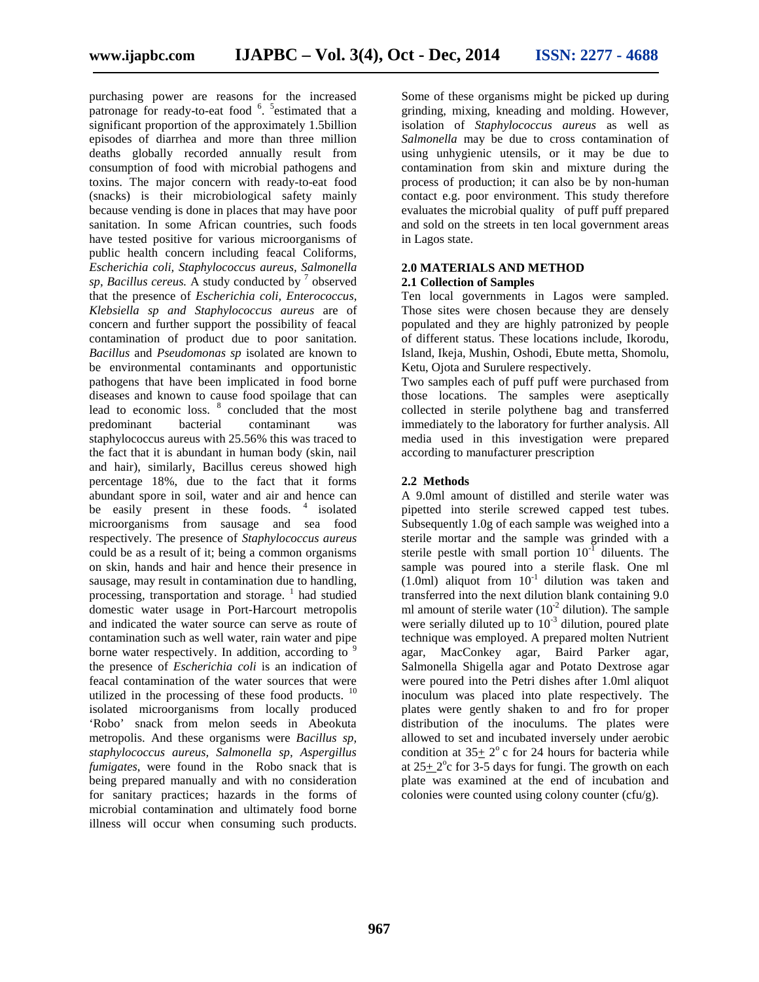purchasing power are reasons for the increased patronage for ready-to-eat food  $6.5$  sestimated that a significant proportion of the approximately 1.5billion episodes of diarrhea and more than three million deaths globally recorded annually result from consumption of food with microbial pathogens and toxins. The major concern with ready-to-eat food (snacks) is their microbiological safety mainly because vending is done in places that may have poor sanitation. In some African countries, such foods have tested positive for various microorganisms of public health concern including feacal Coliforms*, Escherichia coli, Staphylococcus aureus, Salmonella sp, Bacillus cereus.* A study conducted by <sup>7</sup> observed that the presence of *Escherichia coli, Enterococcus, Klebsiella sp and Staphylococcus aureus* are of concern and further support the possibility of feacal contamination of product due to poor sanitation. *Bacillus* and *Pseudomonas sp* isolated are known to be environmental contaminants and opportunistic pathogens that have been implicated in food borne diseases and known to cause food spoilage that can lead to economic loss. <sup>8</sup> concluded that the most predominant bacterial contaminant was staphylococcus aureus with 25.56% this was traced to the fact that it is abundant in human body (skin, nail and hair), similarly, Bacillus cereus showed high percentage 18%, due to the fact that it forms abundant spore in soil, water and air and hence can be easily present in these foods. <sup>4</sup> isolated microorganisms from sausage and sea food respectively. The presence of *Staphylococcus aureus* could be as a result of it; being a common organisms on skin, hands and hair and hence their presence in sausage, may result in contamination due to handling, processing, transportation and storage.  $\frac{1}{1}$  had studied domestic water usage in Port-Harcourt metropolis and indicated the water source can serve as route of contamination such as well water, rain water and pipe borne water respectively. In addition, according to  $\frac{9}{2}$ the presence of *Escherichia coli* is an indication of feacal contamination of the water sources that were utilized in the processing of these food products. <sup>10</sup> isolated microorganisms from locally produced 'Robo' snack from melon seeds in Abeokuta metropolis. And these organisms were *Bacillus sp, staphylococcus aureus, Salmonella sp, Aspergillus fumigates*, were found in the Robo snack that is being prepared manually and with no consideration for sanitary practices; hazards in the forms of microbial contamination and ultimately food borne illness will occur when consuming such products.

Some of these organisms might be picked up during grinding, mixing, kneading and molding. However, isolation of *Staphylococcus aureus* as well as *Salmonella* may be due to cross contamination of using unhygienic utensils, or it may be due to contamination from skin and mixture during the process of production; it can also be by non-human contact e.g. poor environment. This study therefore evaluates the microbial quality of puff puff prepared and sold on the streets in ten local government areas in Lagos state.

# **2.0 MATERIALS AND METHOD**

# **2.1 Collection of Samples**

Ten local governments in Lagos were sampled. Those sites were chosen because they are densely populated and they are highly patronized by people of different status. These locations include, Ikorodu, Island, Ikeja, Mushin, Oshodi, Ebute metta, Shomolu, Ketu, Ojota and Surulere respectively.

Two samples each of puff puff were purchased from those locations. The samples were aseptically collected in sterile polythene bag and transferred immediately to the laboratory for further analysis. All media used in this investigation were prepared according to manufacturer prescription

# **2.2 Methods**

A 9.0ml amount of distilled and sterile water was pipetted into sterile screwed capped test tubes. Subsequently 1.0g of each sample was weighed into a sterile mortar and the sample was grinded with a sterile pestle with small portion  $10^{-1}$  diluents. The sample was poured into a sterile flask. One ml  $(1.0ml)$  aliquot from  $10^{-1}$  dilution was taken and transferred into the next dilution blank containing 9.0 ml amount of sterile water  $(10^{-2}$  dilution). The sample were serially diluted up to  $10^{-3}$  dilution, poured plate technique was employed. A prepared molten Nutrient agar, MacConkey agar, Baird Parker agar, Salmonella Shigella agar and Potato Dextrose agar were poured into the Petri dishes after 1.0ml aliquot inoculum was placed into plate respectively. The plates were gently shaken to and fro for proper distribution of the inoculums. The plates were allowed to set and incubated inversely under aerobic condition at  $35 \pm 2^{\circ}$  c for 24 hours for bacteria while at  $25 \pm 2^{\circ}$ c for 3-5 days for fungi. The growth on each plate was examined at the end of incubation and colonies were counted using colony counter (cfu/g).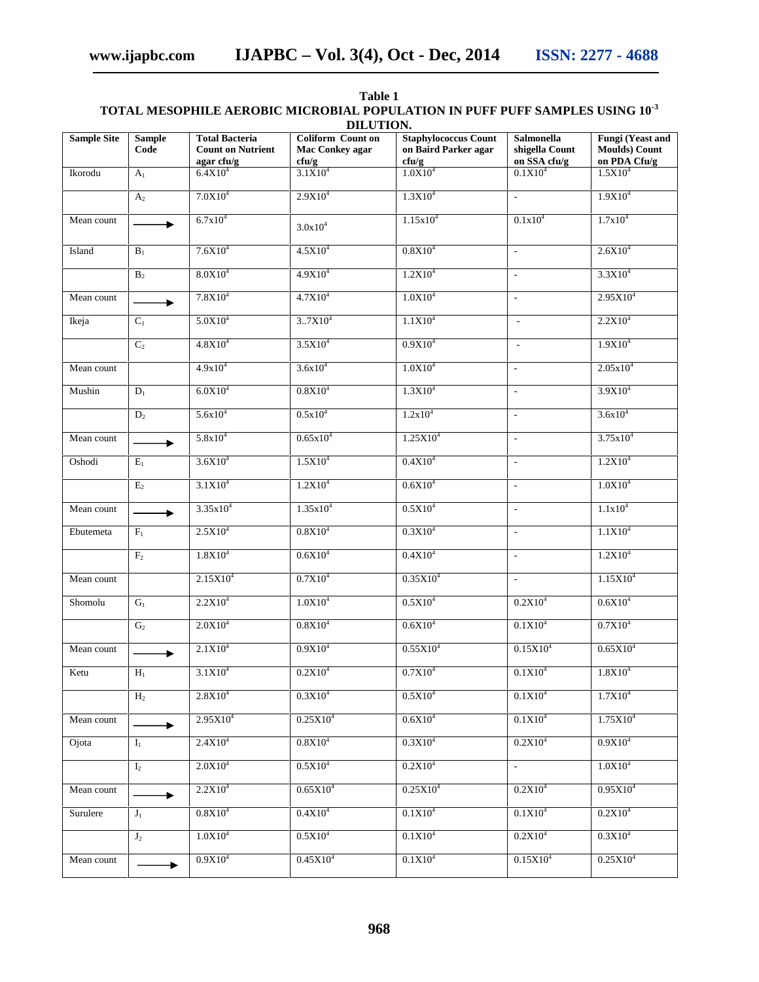**www.ijapbc.com IJAPBC – Vol. 3(4), Oct - Dec, 2014 ISSN: 2277 - 4688**

|                                             | DILUTION.                 |                                                                 |                                                      |                                                              |                                                     |                                                                  |  |  |  |  |  |  |  |  |
|---------------------------------------------|---------------------------|-----------------------------------------------------------------|------------------------------------------------------|--------------------------------------------------------------|-----------------------------------------------------|------------------------------------------------------------------|--|--|--|--|--|--|--|--|
| <b>Sample Site</b><br><b>Sample</b><br>Code |                           | <b>Total Bacteria</b><br><b>Count on Nutrient</b><br>agar cfu/g | <b>Coliform Count on</b><br>Mac Conkey agar<br>cfu/g | <b>Staphylococcus Count</b><br>on Baird Parker agar<br>ctu/g | <b>Salmonella</b><br>shigella Count<br>on SSA cfu/g | <b>Fungi</b> (Yeast and<br><b>Moulds</b> ) Count<br>on PDA Cfu/g |  |  |  |  |  |  |  |  |
| Ikorodu                                     | A <sub>1</sub>            | $6.4X10^{4}$                                                    | $3.1X10^{4}$                                         | $1.0X10^{4}$                                                 | 0.1X10 <sup>4</sup>                                 | 1.5X10 <sup>4</sup>                                              |  |  |  |  |  |  |  |  |
|                                             | A <sub>2</sub>            | $7.0X10^{4}$                                                    | 2.9X10 <sup>4</sup>                                  | 1.3X10 <sup>4</sup>                                          | ÷.                                                  | $1.9X10^{4}$                                                     |  |  |  |  |  |  |  |  |
| Mean count                                  | $\blacktriangleright$     | 6.7x10 <sup>4</sup>                                             | $3.0x10^{4}$                                         | $1.15x10^{4}$                                                | $0.1x10^4$                                          | 1.7x10 <sup>4</sup>                                              |  |  |  |  |  |  |  |  |
| Island                                      | $B_1$                     | $7.6X10^{4}$                                                    | $4.5X10^{4}$                                         | $0.8X10^{4}$                                                 | $\sim$                                              | 2.6X10 <sup>4</sup>                                              |  |  |  |  |  |  |  |  |
|                                             | B <sub>2</sub>            | 8.0X10 <sup>4</sup>                                             | 4.9X10 <sup>4</sup>                                  | 1.2X10 <sup>4</sup>                                          | $\overline{\phantom{a}}$                            | 3.3X10 <sup>4</sup>                                              |  |  |  |  |  |  |  |  |
| Mean count                                  | $\blacktriangleright$     | 7.8X10 <sup>4</sup>                                             | 4.7X10 <sup>4</sup>                                  | 1.0X10 <sup>4</sup>                                          | $\mathbb{L}$                                        | $2.95X10^{4}$                                                    |  |  |  |  |  |  |  |  |
| Ikeja                                       | $C_1$                     | $5.0X10^{4}$                                                    | 3.7X10 <sup>4</sup>                                  | 1.1X10 <sup>4</sup>                                          | $\sim$                                              | 2.2X10 <sup>4</sup>                                              |  |  |  |  |  |  |  |  |
|                                             | $\overline{C_2}$          | 4.8X10 <sup>4</sup>                                             | $3.5X10^{4}$                                         | $0.9X10^{4}$                                                 | $\overline{\phantom{a}}$                            | 1.9X10 <sup>4</sup>                                              |  |  |  |  |  |  |  |  |
| Mean count                                  |                           | $4.9x10^{4}$                                                    | $3.6x10^{4}$                                         | $1.0X10^{4}$                                                 | $\overline{\phantom{a}}$                            | $2.05x10^{4}$                                                    |  |  |  |  |  |  |  |  |
| Mushin                                      | $\mathbf{D}_1$            | 6.0X10 <sup>4</sup>                                             | 0.8X10 <sup>4</sup>                                  | 1.3X10 <sup>4</sup>                                          | $\omega$                                            | $3.9X10^{4}$                                                     |  |  |  |  |  |  |  |  |
|                                             | $D_2$                     | $5.6x10^{4}$                                                    | $0.5x10^4$                                           | $1.2x10^4$                                                   | $\overline{\phantom{a}}$                            | $3.6x10^{4}$                                                     |  |  |  |  |  |  |  |  |
| Mean count                                  |                           | $5.8x10^{4}$                                                    | $0.65x10^{4}$                                        | 1.25X10 <sup>4</sup>                                         | $\overline{\phantom{a}}$                            | $3.75x10^{4}$                                                    |  |  |  |  |  |  |  |  |
| Oshodi                                      | $\mathbf{E}_1$            | 3.6X10 <sup>4</sup>                                             | 1.5X10 <sup>4</sup>                                  | 0.4X10 <sup>4</sup>                                          | $\mathbb{L}$                                        | 1.2X10 <sup>4</sup>                                              |  |  |  |  |  |  |  |  |
|                                             | $E_2$                     | $3.1X10^{4}$                                                    | 1.2X10 <sup>4</sup>                                  | $0.6X10^{4}$                                                 | $\mathbb{L}$                                        | $1.0X10^{4}$                                                     |  |  |  |  |  |  |  |  |
| Mean count                                  | $\ddot{\phantom{1}}$      | $3.35x10^{4}$                                                   | $1.35x10^{4}$                                        | 0.5X10 <sup>4</sup>                                          | $\overline{\phantom{a}}$                            | 1.1x10 <sup>4</sup>                                              |  |  |  |  |  |  |  |  |
| Ebutemeta                                   | $F_1$                     | 2.5X10 <sup>4</sup>                                             | 0.8X10 <sup>4</sup>                                  | $0.3X10^{4}$                                                 | $\mathcal{L}_{\mathcal{A}}$                         | 1.1X10 <sup>4</sup>                                              |  |  |  |  |  |  |  |  |
|                                             | F <sub>2</sub>            | 1.8X10 <sup>4</sup>                                             | 0.6X10 <sup>4</sup>                                  | 0.4X10 <sup>4</sup>                                          | $\mathbb{L}$                                        | 1.2X10 <sup>4</sup>                                              |  |  |  |  |  |  |  |  |
| Mean count                                  |                           | 2.15X10 <sup>4</sup>                                            | 0.7X10 <sup>4</sup>                                  | $0.35X10^{4}$                                                | $\overline{\phantom{a}}$                            | 1.15X10 <sup>4</sup>                                             |  |  |  |  |  |  |  |  |
| Shomolu                                     | $G_1$                     | 2.2X10 <sup>4</sup>                                             | 1.0X10 <sup>4</sup>                                  | $0.5X10^{4}$                                                 | $0.2X10^{4}$                                        | $0.6X10^{4}$                                                     |  |  |  |  |  |  |  |  |
|                                             | G <sub>2</sub>            | 2.0X10 <sup>4</sup>                                             | 0.8X10 <sup>4</sup>                                  | $0.6X10^{4}$                                                 | 0.1X10 <sup>4</sup>                                 | 0.7X10 <sup>4</sup>                                              |  |  |  |  |  |  |  |  |
| Mean count                                  |                           | 2.1X10 <sup>4</sup>                                             | 0.9X10 <sup>4</sup>                                  | $0.55X10^{4}$                                                | 0.15X10 <sup>4</sup>                                | $0.65X10^{4}$                                                    |  |  |  |  |  |  |  |  |
| Ketu                                        | $\overline{\mathrm{H}_1}$ | 3.1X10 <sup>4</sup>                                             | $0.2X10^{4}$                                         | $0.7X10^{4}$                                                 | $0.1X10^{4}$                                        | $1.8X10^{4}$                                                     |  |  |  |  |  |  |  |  |
|                                             | H <sub>2</sub>            | $2.8X10^{4}$                                                    | 0.3X10 <sup>4</sup>                                  | 0.5X10 <sup>4</sup>                                          | 0.1X10 <sup>4</sup>                                 | 1.7X10 <sup>4</sup>                                              |  |  |  |  |  |  |  |  |
| Mean count                                  | $\blacktriangleright$     | $2.95X10^{4}$                                                   | 0.25X10 <sup>4</sup>                                 | $0.6X10^{4}$                                                 | $0.1X10^{4}$                                        | $1.75X10^{4}$                                                    |  |  |  |  |  |  |  |  |
| Ojota                                       | $I_1$                     | 2.4X10 <sup>4</sup>                                             | 0.8X10 <sup>4</sup>                                  | $0.3X10^{4}$                                                 | 0.2X10 <sup>4</sup>                                 | $0.9X10^{4}$                                                     |  |  |  |  |  |  |  |  |
|                                             | I <sub>2</sub>            | 2.0X10 <sup>4</sup>                                             | $0.5X10^{4}$                                         | 0.2X10 <sup>4</sup>                                          | $\mathbb{Z}^{\mathbb{Z}}$                           | $1.0X10^{4}$                                                     |  |  |  |  |  |  |  |  |
| Mean count                                  | ▶.                        | 2.2X10 <sup>4</sup>                                             | $0.65X10^{4}$                                        | $0.25X10^{4}$                                                | 0.2X10 <sup>4</sup>                                 | $0.95X10^{4}$                                                    |  |  |  |  |  |  |  |  |
| Surulere                                    | $J_1$                     | $0.8X10^{4}$                                                    | $0.4X10^{4}$                                         | 0.1X10 <sup>4</sup>                                          | 0.1X10 <sup>4</sup>                                 | 0.2X10 <sup>4</sup>                                              |  |  |  |  |  |  |  |  |
|                                             | $J_2$                     | 1.0X10 <sup>4</sup>                                             | $0.5X10^{4}$                                         | 0.1X10 <sup>4</sup>                                          | $0.2X10^{4}$                                        | $0.3X10^{4}$                                                     |  |  |  |  |  |  |  |  |
| Mean count                                  | ,                         | $0.9X10^{4}$                                                    | 0.45X10 <sup>4</sup>                                 | 0.1X10 <sup>4</sup>                                          | 0.15X10 <sup>4</sup>                                | 0.25X10 <sup>4</sup>                                             |  |  |  |  |  |  |  |  |

# **Table 1 TOTAL MESOPHILE AEROBIC MICROBIAL POPULATION IN PUFF PUFF SAMPLES USING 10-3**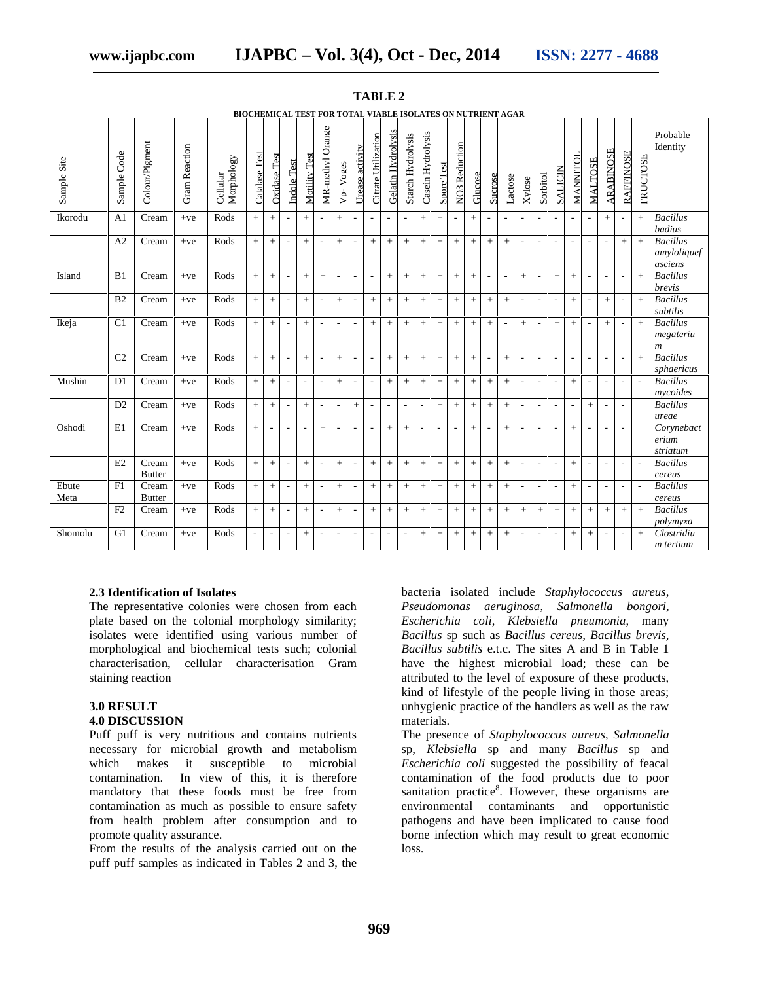| Sample Site   | Sample Code    | Colour/Pigment         | Gram Reaction | Morphology<br>Cellular | Catalase Test | <b>Oxidase Test</b> | <b>Indole Test</b>       | Motility Test            | MR-methyl Orange         | V <sub>p</sub> -Voges    | Urease activity          | Citrate Utilization      | <b>Gelatin Hydrolysis</b> | <b>Starch Hydrolysis</b> | Casein Hydrolysis        | <b>Spore Test</b> | <b>NO3</b> Reduction     | Glucose | Sucrose                  | Lactose                  | Xylose                   | Sorbitol                 | <b>SALICIN</b>           | MANNITOI                 | MALTOSE                  | <b>ARABINOSE</b>         | <b>RAFFINOSE</b>         | FRUCTOSE                 | Probable<br>Identity                             |
|---------------|----------------|------------------------|---------------|------------------------|---------------|---------------------|--------------------------|--------------------------|--------------------------|--------------------------|--------------------------|--------------------------|---------------------------|--------------------------|--------------------------|-------------------|--------------------------|---------|--------------------------|--------------------------|--------------------------|--------------------------|--------------------------|--------------------------|--------------------------|--------------------------|--------------------------|--------------------------|--------------------------------------------------|
| Ikorodu       | A <sub>1</sub> | Cream                  | $+ve$         | Rods                   | $+$           | $+$                 | $\overline{\phantom{a}}$ | $+$                      | $\overline{\phantom{a}}$ | $+$                      | $\overline{\phantom{a}}$ | $\overline{\phantom{a}}$ | $\overline{\phantom{a}}$  | $\overline{\phantom{a}}$ | $+$                      | $+$               | $\overline{\phantom{a}}$ |         | $\overline{\phantom{a}}$ | $\overline{\phantom{a}}$ | $\overline{\phantom{a}}$ | $\overline{\phantom{a}}$ | $\overline{\phantom{a}}$ | $\overline{\phantom{a}}$ | $\overline{\phantom{a}}$ | $+$                      | $\overline{\phantom{a}}$ | $\ddot{+}$               | <b>Bacillus</b><br>badius                        |
|               | A2             | Cream                  | $+ve$         | Rods                   | $+$           | $+$                 | $\overline{\phantom{a}}$ | $+$                      | $\overline{\phantom{a}}$ | $+$                      | $\overline{\phantom{a}}$ | $+$                      | $+$                       | $+$                      | $^{+}$                   | $\! + \!\!\!\!$   | $+$                      |         | $+$                      | $\! +$                   | $\overline{\phantom{a}}$ | $\overline{\phantom{a}}$ | $\overline{\phantom{a}}$ | $\overline{\phantom{a}}$ | $\overline{\phantom{a}}$ | $\sim$                   | $\! +$                   | $+$                      | <b>Bacillus</b><br>amyloliquef<br>asciens        |
| Island        | B1             | Cream                  | $+ve$         | Rods                   | $+$           | $\! + \!\!\!\!$     | $\overline{\phantom{a}}$ | $^{+}$                   | $+$                      | $\overline{\phantom{a}}$ | $\sim$                   | $\overline{\phantom{a}}$ | $^{+}$                    | $+$                      | $^{+}$                   |                   | $+$                      |         | $\overline{\phantom{a}}$ | $\overline{\phantom{a}}$ | $\! +$                   | $\overline{\phantom{a}}$ | $+$                      | $+$                      | $\overline{\phantom{a}}$ | $\blacksquare$           | $\overline{\phantom{a}}$ | $+$                      | <b>Bacillus</b><br>brevis                        |
|               | B <sub>2</sub> | Cream                  | $+ve$         | Rods                   | $+$           | $\! + \!\!\!\!$     | $\overline{\phantom{a}}$ | $^{+}$                   | $\overline{\phantom{a}}$ | $+$                      | $\overline{\phantom{a}}$ | $+$                      | $^{+}$                    | $+$                      | $^{+}$                   |                   | $^{+}$                   |         | $+$                      | $\! +$                   | $\overline{\phantom{a}}$ | $\overline{\phantom{a}}$ | $\overline{\phantom{a}}$ |                          | $\overline{\phantom{a}}$ | $\ddot{}$                | $\overline{\phantom{a}}$ | $+$                      | <b>Bacillus</b><br>subtilis                      |
| Ikeja         | C <sub>1</sub> | Cream                  | $+ve$         | Rods                   | $+$           | $+$                 | $\overline{\phantom{a}}$ | $+$                      | $\overline{\phantom{a}}$ | ٠                        | $\overline{\phantom{a}}$ | $+$                      | $+$                       | $+$                      | $+$                      | $+$               | $+$                      | $+$     | $+$                      | $\overline{\phantom{a}}$ | $+$                      | $\blacksquare$           | $+$                      | $+$                      | $\overline{\phantom{a}}$ | $+$                      | $\overline{\phantom{a}}$ | $+$                      | <b>Bacillus</b><br>megateriu<br>$\boldsymbol{m}$ |
|               | C <sub>2</sub> | Cream                  | $+ve$         | Rods                   | $+$           | $+$                 | $\overline{\phantom{a}}$ | $+$                      | $\sim$                   | $+$                      | $\sim$                   | $\overline{\phantom{a}}$ | $+$                       | $+$                      | $+$                      | $+$               | $+$                      | $+$     | $\sim$                   | $+$                      | $\overline{\phantom{a}}$ | $\blacksquare$           | $\sim$                   | $\sim$                   | $\overline{\phantom{a}}$ | $\blacksquare$           | $\overline{\phantom{a}}$ | $+$                      | <b>Bacillus</b><br>sphaericus                    |
| Mushin        | D <sub>1</sub> | Cream                  | $+ve$         | Rods                   | $+$           | $+$                 | $\overline{\phantom{a}}$ | $\overline{\phantom{a}}$ | $\sim$                   | $^{+}$                   | $\overline{\phantom{a}}$ | $\overline{\phantom{a}}$ | $+$                       | $+$                      | $^{+}$                   | $\! + \!\!\!\!$   | $+$                      | $+$     | $+$                      | $+$                      | $\overline{\phantom{a}}$ | $\blacksquare$           | $\sim$                   | $^{+}$                   | $\overline{\phantom{a}}$ | $\blacksquare$           | $\sim$                   | ÷,                       | <b>Bacillus</b><br>mycoides                      |
|               | D2             | Cream                  | $+ve$         | Rods                   | $+$           | $+$                 | $\overline{\phantom{a}}$ | $+$                      | $\overline{\phantom{a}}$ | $\overline{\phantom{a}}$ | $+$                      | $\overline{\phantom{a}}$ | $\overline{\phantom{a}}$  | $\overline{\phantom{a}}$ | $\overline{\phantom{a}}$ | $+$               | $+$                      | $+$     | $+$                      | $+$                      | $\overline{\phantom{a}}$ | $\blacksquare$           | $\overline{\phantom{a}}$ | $\sim$                   | $+$                      | $\overline{\phantom{a}}$ | $\overline{\phantom{a}}$ |                          | <b>Bacillus</b><br>ureae                         |
| Oshodi        | E1             | Cream                  | $+ve$         | Rods                   | $+$           | $\blacksquare$      | $\overline{\phantom{a}}$ | $\overline{\phantom{a}}$ | $+$                      | $\overline{\phantom{a}}$ | $\overline{a}$           | $\overline{\phantom{a}}$ | $+$                       | $+$                      | $\overline{\phantom{a}}$ | $\sim$            | $\overline{\phantom{a}}$ | $+$     | $\overline{\phantom{a}}$ | $+$                      | $\overline{\phantom{a}}$ | $\blacksquare$           | $\overline{\phantom{a}}$ | $+$                      | $\overline{\phantom{a}}$ | $\overline{a}$           | $\overline{\phantom{a}}$ |                          | Corynebact<br>erium<br>striatum                  |
|               | E2             | Cream<br><b>Butter</b> | $+ve$         | Rods                   | $+$           | $\! + \!\!\!\!$     | $\overline{\phantom{a}}$ | $+$                      | $\sim$                   | $^{+}$                   | $\sim$                   | $+$                      | $+$                       | $+$                      | $^{+}$                   | $\! + \!\!\!\!$   | $+$                      | $+$     | $+$                      | $\! +$                   | $\overline{\phantom{a}}$ | $\blacksquare$           | $\sim$                   | $+$                      | $\overline{\phantom{a}}$ | $\overline{\phantom{a}}$ | $\overline{\phantom{a}}$ | $\sim$                   | <b>Bacillus</b><br>cereus                        |
| Ebute<br>Meta | F1             | Cream<br><b>Butter</b> | $+ve$         | Rods                   | $+$           | $\! + \!\!\!\!$     | $\overline{\phantom{a}}$ | $+$                      | $\sim$                   | $^{+}$                   | $\overline{\phantom{a}}$ | $+$                      | $+$                       | $+$                      | $^{+}$                   | $\! + \!\!\!\!$   | $^{+}$                   |         | $\! +$                   | $\! +$                   | $\overline{\phantom{a}}$ | $\blacksquare$           | $\sim$                   | $\! +$                   | $\sim$                   | $\overline{\phantom{a}}$ | $\overline{\phantom{a}}$ | $\overline{\phantom{a}}$ | <b>Bacillus</b><br>cereus                        |
|               | F2             | Cream                  | $+ve$         | Rods                   | $+$           | $+$                 | $\overline{\phantom{a}}$ | $+$                      | $\sim$                   | $+$                      | $\overline{\phantom{a}}$ | $+$                      | $+$                       | $+$                      | $+$                      | $+$               | $+$                      | $+$     | $+$                      | $+$                      | $+$                      | $+$                      | $+$                      | $+$                      | $+$                      | $+$                      | $+$                      | $+$                      | <b>Bacillus</b><br>polymyxa                      |
| Shomolu       | G1             | Cream                  | $+ve$         | Rods                   |               |                     | $\overline{\phantom{a}}$ | $+$                      | $\sim$                   | $\overline{a}$           |                          | $\overline{\phantom{a}}$ | $\overline{\phantom{a}}$  | $\overline{\phantom{a}}$ | $+$                      | $\! + \!\!\!\!$   | $+$                      | $+$     | $+$                      | $+$                      | $\overline{\phantom{a}}$ | $\overline{\phantom{a}}$ | $\sim$                   | $+$                      | $^{+}$                   |                          | $\overline{\phantom{a}}$ | $+$                      | Clostridiu<br>m tertium                          |

# **TABLE 2**

# **BIOCHEMICAL TEST FOR TOTAL VIABLE ISOLATES ON NUTRIENT AGAR**

## **2.3 Identification of Isolates**

The representative colonies were chosen from each plate based on the colonial morphology similarity; isolates were identified using various number of morphological and biochemical tests such; colonial characterisation, cellular characterisation Gram staining reaction

#### **3.0 RESULT**

#### **4.0 DISCUSSION**

Puff puff is very nutritious and contains nutrients necessary for microbial growth and metabolism which makes it susceptible to microbial contamination. In view of this, it is therefore mandatory that these foods must be free from contamination as much as possible to ensure safety from health problem after consumption and to promote quality assurance.

From the results of the analysis carried out on the puff puff samples as indicated in Tables 2 and 3, the bacteria isolated include *Staphylococcus aureus*, *Pseudomonas aeruginosa*, *Salmonella bongori*, *Escherichia coli*, *Klebsiella pneumonia*, many *Bacillus* sp such as *Bacillus cereus, Bacillus brevis, Bacillus subtilis* e.t.c. The sites A and B in Table 1 have the highest microbial load; these can be attributed to the level of exposure of these products, kind of lifestyle of the people living in those areas; unhygienic practice of the handlers as well as the raw materials.

The presence of *Staphylococcus aureus*, *Salmonella* sp, *Klebsiella* sp and many *Bacillus* sp and *Escherichia coli* suggested the possibility of feacal contamination of the food products due to poor sanitation practice<sup>8</sup>. However, these organisms are environmental contaminants and opportunistic pathogens and have been implicated to cause food borne infection which may result to great economic loss.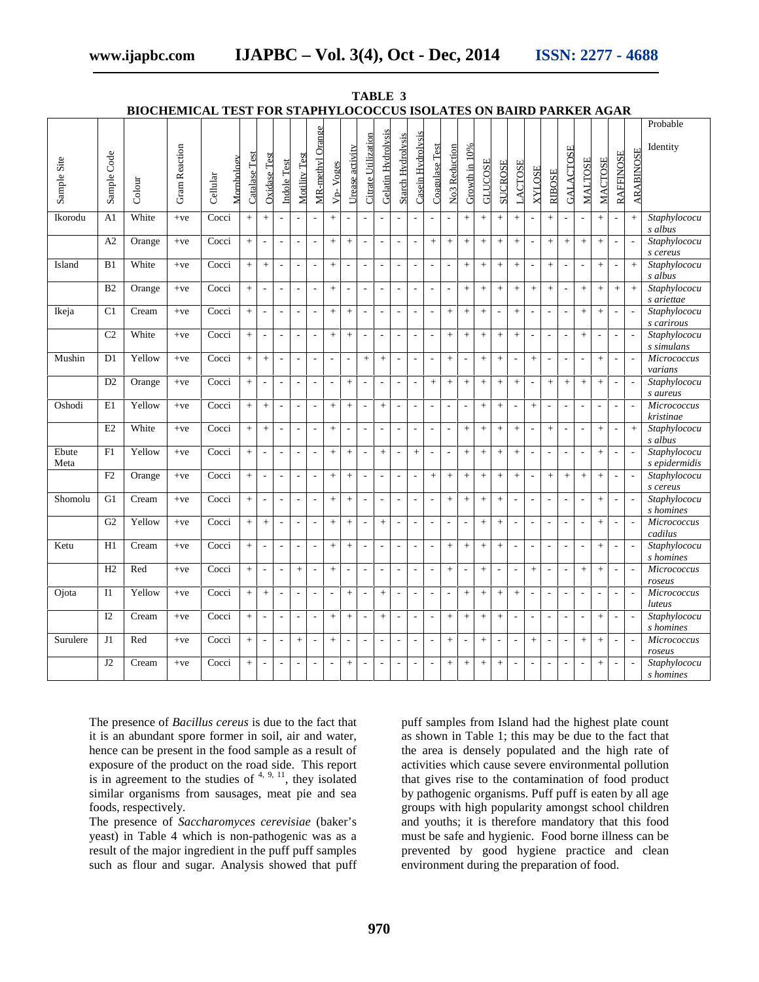# **www.ijapbc.com IJAPBC – Vol. 3(4), Oct - Dec, 2014 ISSN: 2277 - 4688**

|               |                | BIOCHEMICAL TEST FOR STAPHYLOCOCCUS ISOLATES ON BAIRD PARKER AGAR |                      |          |            |               |                          |                          |                          |                          |                          |                          |                             |                          |                          |                          |                          |                          |                          |                |                          |                          |                          |                          |                          |                          |                          |                          |                          |                               |
|---------------|----------------|-------------------------------------------------------------------|----------------------|----------|------------|---------------|--------------------------|--------------------------|--------------------------|--------------------------|--------------------------|--------------------------|-----------------------------|--------------------------|--------------------------|--------------------------|--------------------------|--------------------------|--------------------------|----------------|--------------------------|--------------------------|--------------------------|--------------------------|--------------------------|--------------------------|--------------------------|--------------------------|--------------------------|-------------------------------|
|               |                |                                                                   |                      |          |            |               |                          |                          |                          |                          |                          |                          |                             |                          |                          |                          |                          |                          |                          |                |                          |                          |                          |                          |                          |                          |                          |                          |                          | Probable                      |
| Sample Site   | Sample Code    | Colour                                                            | <b>Gram Reaction</b> | Cellular | Mornhology | Catalase Test | Oxidase Test             | Indole Test              | Motility Test            | MR-methyl Orange         | V <sub>p</sub> -Voges    | Urease activity          | <b>Citrate Utilization</b>  | Gelatin Hydrolysis       | <b>Starch Hydrolysis</b> | Casein Hydrolysis        | Coagulase Test           | <b>No3 Reduction</b>     | Growth in 10%            | <b>GLUCOSE</b> | <b>SUCROSE</b>           | <b>LACTOSE</b>           | <b>XYLOSE</b>            | <b>RIBOSE</b>            | <b>GALACTOSE</b>         | <b>MALTOSE</b>           | <b>MACTOSE</b>           | <b>RAFFINOSE</b>         | <b>ARABINOSE</b>         | Identity                      |
| Ikorodu       | A <sub>1</sub> | White                                                             | $+ve$                | Cocci    |            | $+$           | $+$                      | $\overline{\phantom{a}}$ | L.                       | ÷,                       | $+$                      | ÷,                       | $\overline{\phantom{a}}$    | $\overline{\phantom{a}}$ | ٠                        | $\overline{\phantom{a}}$ |                          | $\overline{\phantom{a}}$ | $^{+}$                   | $+$            |                          | $\, +$                   | $\overline{a}$           | $+$                      | $\overline{\phantom{a}}$ | $\overline{\phantom{a}}$ | $+$                      | $\overline{a}$           | $+$                      | Staphylococu<br>s albus       |
|               | A2             | Orange                                                            | $+ve$                | Cocci    |            | $\ddot{}$     | $\overline{\phantom{a}}$ | $\overline{\phantom{a}}$ | $\overline{\phantom{a}}$ | $\overline{\phantom{a}}$ | $+$                      | $\ddot{}$                | $\overline{\phantom{a}}$    | $\overline{\phantom{a}}$ | $\overline{\phantom{a}}$ | $\overline{\phantom{a}}$ | $\pm$                    | $^{+}$                   | $\ddot{}$                | $\! +$         | $\boldsymbol{+}$         | $\pm$                    | $\overline{\phantom{a}}$ | $\pm$                    | $\, +$                   | $\ddot{}$                | $+$                      | ÷,                       |                          | Staphylococu<br>s cereus      |
| Island        | B <sub>1</sub> | White                                                             | $+ve$                | Cocci    |            | $+$           | $+$                      | $\overline{\phantom{a}}$ | $\sim$                   | $\overline{\phantom{a}}$ | $+$                      | $\sim$                   | $\mathcal{L}_{\mathcal{A}}$ | $\overline{\phantom{a}}$ | $\sim$                   | $\sim$                   | $\sim$                   | $\sim$                   | $+$                      | $+$            | $\boldsymbol{+}$         | $\qquad \qquad +$        | $\overline{a}$           | $+$                      | $\overline{\phantom{a}}$ | $\sim$                   | $+$                      | $\overline{\phantom{a}}$ | $+$                      | Staphylococu<br>s albus       |
|               | B2             | Orange                                                            | $+ve$                | Cocci    |            | $+$           | $\overline{\phantom{a}}$ | $\overline{\phantom{a}}$ | $\sim$                   | $\overline{\phantom{a}}$ | $+$                      | $\sim$                   | $\mathbb{Z}$                | $\overline{\phantom{a}}$ | $\overline{\phantom{a}}$ | $\overline{\phantom{a}}$ | $\overline{a}$           | $\overline{\phantom{a}}$ | $+$                      | $+$            | $\pm$                    | $\ddot{}$                | $+$                      | $+$                      | $\overline{\phantom{a}}$ | $\ddot{}$                | $+$                      | $+$                      | $+$                      | Staphylococu<br>s ariettae    |
| Ikeja         | C <sub>1</sub> | Cream                                                             | $+ve$                | Cocci    |            | $+$           | J.                       | $\overline{\phantom{a}}$ | ÷,                       | $\overline{\phantom{a}}$ | $+$                      | $+$                      | $\overline{\phantom{a}}$    | $\overline{\phantom{a}}$ | $\overline{\phantom{a}}$ | $\overline{\phantom{a}}$ | $\overline{a}$           | $+$                      | $\ddot{}$                | $+$            | $\overline{\phantom{a}}$ | $\ddot{}$                | $\overline{\phantom{a}}$ | $\overline{\phantom{a}}$ | $\overline{\phantom{a}}$ | $+$                      | $\ddot{}$                | ÷,                       |                          | Staphylococu<br>s carirous    |
|               | C <sub>2</sub> | White                                                             | $+ve$                | Cocci    |            | $+$           | ÷,                       | $\overline{\phantom{a}}$ | ÷,                       | $\overline{\phantom{a}}$ | $+$                      | $+$                      | $\overline{\phantom{a}}$    | $\overline{\phantom{a}}$ | $\overline{\phantom{a}}$ | $\overline{\phantom{a}}$ | $\overline{\phantom{a}}$ | $\qquad \qquad +$        | $\ddot{}$                |                |                          | $\, +$                   |                          | $\overline{\phantom{a}}$ | $\overline{\phantom{a}}$ | $^{+}$                   | $\overline{\phantom{a}}$ | ÷,                       |                          | Staphylococu<br>s simulans    |
| Mushin        | D1             | Yellow                                                            | $+ve$                | Cocci    |            | $^{+}$        | $+$                      | $\overline{\phantom{a}}$ | ÷,                       | ÷                        | $\overline{\phantom{a}}$ |                          | $^{+}$                      | $+$                      | $\overline{\phantom{a}}$ | $\overline{\phantom{a}}$ |                          | $^{+}$                   | $\overline{\phantom{a}}$ | $+$            | $\ddot{}$                | $\overline{\phantom{a}}$ | $\ddot{}$                | $\overline{\phantom{a}}$ | $\overline{\phantom{a}}$ |                          | $\pm$                    | $\overline{\phantom{a}}$ |                          | Micrococcus<br>varians        |
|               | D <sub>2</sub> | Orange                                                            | $+ve$                | Cocci    |            | $+$           | $\overline{\phantom{a}}$ | $\overline{\phantom{a}}$ | L,                       | $\overline{\phantom{a}}$ | $\overline{\phantom{a}}$ | $+$                      | $\overline{\phantom{a}}$    | $\overline{\phantom{a}}$ | $\overline{a}$           | $\overline{\phantom{a}}$ | $+$                      | $+$                      | $+$                      | $+$            | $\boldsymbol{+}$         | $+$                      | $\overline{\phantom{a}}$ | $+$                      | $+$                      | $\ddot{}$                | $+$                      | $\overline{\phantom{a}}$ |                          | Staphylococu<br>s aureus      |
| Oshodi        | E1             | Yellow                                                            | $+ve$                | Cocci    |            | $+$           | $+$                      | $\sim$                   |                          | ÷,                       | $+$                      | $+$                      | L.                          | $+$                      | $\overline{a}$           | ÷,                       |                          | $\sim$                   | $\sim$                   | $+$            | $+$                      | $\overline{\phantom{a}}$ | $\ddot{}$                | $\sim$                   | J.                       |                          |                          |                          |                          | Micrococcus<br>kristinae      |
|               | E2             | White                                                             | $+ve$                | Cocci    |            | $^{+}$        | $+$                      | L.                       | ÷,                       | $\overline{\phantom{a}}$ | $\pm$                    | $\overline{\phantom{a}}$ | $\overline{\phantom{a}}$    | $\sim$                   | $\overline{\phantom{a}}$ | $\overline{a}$           |                          | $\sim$                   | $^{+}$                   | $+$            | $\ddot{}$                | $\, +$                   | $\sim$                   | $+$                      | $\sim$                   | $\overline{\phantom{a}}$ | $+$                      | $\overline{\phantom{a}}$ | $^{+}$                   | Staphylococu<br>s albus       |
| Ebute<br>Meta | F1             | Yellow                                                            | $+ve$                | Cocci    |            | $+$           | $\overline{\phantom{a}}$ | $\overline{\phantom{a}}$ | $\overline{\phantom{a}}$ | $\overline{\phantom{a}}$ | $+$                      | $+$                      | $\overline{\phantom{a}}$    | $+$                      | $\overline{\phantom{a}}$ | $\, +$                   | $\overline{\phantom{a}}$ | $\overline{\phantom{a}}$ | $\ddot{}$                | $+$            | $\ddot{}$                | $\ddot{}$                | $\overline{\phantom{a}}$ | $\overline{\phantom{a}}$ | $\overline{\phantom{a}}$ | $\overline{\phantom{a}}$ | $+$                      | $\overline{\phantom{a}}$ | J.                       | Staphylococu<br>s epidermidis |
|               | F2             | Orange                                                            | $+ve$                | Cocci    |            | $+$           | $\overline{\phantom{a}}$ | ÷,                       | L,                       | $\overline{\phantom{a}}$ | $+$                      | $^{+}$                   | $\overline{\phantom{a}}$    | $\overline{\phantom{a}}$ | $\overline{\phantom{a}}$ | $\overline{\phantom{a}}$ | $+$                      | $+$                      | $^{+}$                   | $+$            |                          | $^{+}$                   | $\overline{a}$           | $+$                      | $+$                      | $+$                      | $+$                      | $\overline{\phantom{a}}$ | $\overline{\phantom{a}}$ | Staphylococu<br>s cereus      |
| Shomolu       | G1             | Cream                                                             | $+ve$                | Cocci    |            | $+$           | $\overline{\phantom{a}}$ | L.                       | L,                       | $\sim$                   | $+$                      | $^{+}$                   | $\overline{\phantom{a}}$    | $\overline{\phantom{a}}$ | $\overline{\phantom{a}}$ | $\overline{\phantom{a}}$ | $\overline{a}$           | $+$                      | $\ddot{}$                | $+$            | $+$                      | $\overline{\phantom{a}}$ | L.                       | $\sim$                   | $\sim$                   | $\sim$                   | $+$                      | L.                       |                          | Staphylococu<br>s homines     |
|               | G <sub>2</sub> | Yellow                                                            | $+ve$                | Cocci    |            | $+$           | $+$                      | $\overline{\phantom{a}}$ | $\sim$                   | $\overline{\phantom{a}}$ | $+$                      | $+$                      | $\overline{\phantom{a}}$    | $+$                      | $\sim$                   | $\overline{\phantom{a}}$ | $\overline{a}$           | $\sim$                   | $\overline{\phantom{a}}$ | $+$            | $^{+}$                   | $\overline{\phantom{a}}$ | ÷,                       | $\overline{\phantom{a}}$ | $\sim$                   | $\overline{\phantom{a}}$ | $+$                      | L.                       | ÷                        | <b>Micrococcus</b><br>cadilus |
| Ketu          | H1             | Cream                                                             | $+ve$                | Cocci    |            | $^{+}$        | $\overline{\phantom{a}}$ | $\overline{\phantom{a}}$ | $\overline{a}$           | $\overline{a}$           | $+$                      | $^{+}$                   | $\blacksquare$              | $\overline{\phantom{a}}$ | ÷,                       | $\overline{\phantom{a}}$ |                          | $^{+}$                   | $+$                      | $+$            | $\ddot{}$                | $\overline{\phantom{a}}$ | ÷,                       | $\overline{\phantom{a}}$ | ÷,                       | $\overline{\phantom{a}}$ | $\pm$                    | ÷,                       |                          | Staphylococu<br>s homines     |
|               | H2             | Red                                                               | $+ve$                | Cocci    |            | $+$           | $\overline{\phantom{a}}$ | $\overline{\phantom{a}}$ | $+$                      | $\overline{\phantom{a}}$ | $+$                      | $\overline{\phantom{a}}$ | $\overline{\phantom{a}}$    | $\overline{\phantom{a}}$ | $\overline{\phantom{a}}$ | $\overline{\phantom{a}}$ | $\overline{\phantom{a}}$ | $+$                      | $\overline{\phantom{a}}$ |                | $\overline{\phantom{a}}$ | $\overline{\phantom{a}}$ | $^{+}$                   | $\overline{\phantom{a}}$ | $\overline{\phantom{a}}$ | $+$                      | $+$                      | $\overline{\phantom{a}}$ | J.                       | Micrococcus<br>roseus         |
| Ojota         | I1             | Yellow                                                            | $+ve$                | Cocci    |            | $+$           | $+$                      | $\overline{\phantom{a}}$ | $\sim$                   | $\overline{\phantom{a}}$ | $\overline{\phantom{a}}$ | $+$                      | $\overline{\phantom{a}}$    | $+$                      | $\overline{\phantom{a}}$ | $\overline{\phantom{a}}$ | $\sim$                   | $\overline{\phantom{a}}$ | $+$                      | $+$            | $\boldsymbol{+}$         | $+$                      | $\sim$                   | $\overline{\phantom{a}}$ | $\overline{\phantom{a}}$ | $\overline{\phantom{a}}$ | $\overline{a}$           | $\overline{\phantom{a}}$ | J.                       | Micrococcus<br>luteus         |
|               | I2             | Cream                                                             | $+ve$                | Cocci    |            | $+$           | $\overline{\phantom{a}}$ | $\overline{\phantom{a}}$ | $\sim$                   | $\overline{\phantom{a}}$ | $+$                      | $+$                      | $\mathbb{Z}^2$              | $+$                      | $\overline{\phantom{a}}$ | $\overline{\phantom{a}}$ | $\sim$                   | $+$                      | $+$                      | $+$            | $\pm$                    | $\overline{\phantom{a}}$ | ÷,                       | $\overline{\phantom{a}}$ | $\overline{\phantom{a}}$ | $\overline{\phantom{a}}$ | $+$                      | $\overline{\phantom{a}}$ |                          | Staphylococu<br>s homines     |
| Surulere      | J1             | Red                                                               | $+ve$                | Cocci    |            | $^{+}$        | $\overline{\phantom{a}}$ | $\mathbb{Z}$             | $\ddot{}$                | $\overline{\phantom{a}}$ | $\pm$                    | $\overline{\phantom{a}}$ | $\overline{\phantom{a}}$    | $\overline{\phantom{a}}$ | $\overline{\phantom{a}}$ | $\overline{\phantom{a}}$ | $\overline{\phantom{a}}$ | $\ddot{}$                | $\sim$                   | $^+$           | $\overline{\phantom{a}}$ | $\overline{\phantom{a}}$ | $\ddot{}$                | $\mathbb{Z}$             | $\overline{\phantom{a}}$ | $\pm$                    | $+$                      | $\overline{\phantom{a}}$ | $\overline{\phantom{a}}$ | Micrococcus<br>roseus         |
|               | J2             | Cream                                                             | $+ve$                | Cocci    |            | $+$           | $\overline{\phantom{a}}$ | $\overline{\phantom{a}}$ | ÷,                       | $\overline{\phantom{a}}$ | $\overline{\phantom{a}}$ | $\ddot{}$                | $\overline{\phantom{a}}$    | $\overline{\phantom{a}}$ | $\overline{\phantom{a}}$ | $\overline{\phantom{a}}$ | $\sim$                   | $\ddot{}$                | $^{+}$                   | $+$            | $\ddot{}$                | $\overline{\phantom{a}}$ | $\overline{\phantom{a}}$ | $\overline{\phantom{a}}$ | $\overline{\phantom{a}}$ | $\overline{\phantom{a}}$ | $^{+}$                   | $\overline{a}$           |                          | Staphylococu<br>s homines     |

**TABLE 3 BIOCHEMICAL TEST FOR STAPHYLOCOCCUS ISOLATES ON BAIRD PARKER AGAR**

The presence of *Bacillus cereus* is due to the fact that it is an abundant spore former in soil, air and water, hence can be present in the food sample as a result of exposure of the product on the road side. This report is in agreement to the studies of  $4, 9, 11$ , they isolated similar organisms from sausages, meat pie and sea foods, respectively.

The presence of *Saccharomyces cerevisiae* (baker's yeast) in Table 4 which is non-pathogenic was as a result of the major ingredient in the puff puff samples such as flour and sugar. Analysis showed that puff puff samples from Island had the highest plate count as shown in Table 1; this may be due to the fact that the area is densely populated and the high rate of activities which cause severe environmental pollution that gives rise to the contamination of food product by pathogenic organisms. Puff puff is eaten by all age groups with high popularity amongst school children and youths; it is therefore mandatory that this food must be safe and hygienic. Food borne illness can be prevented by good hygiene practice and clean environment during the preparation of food.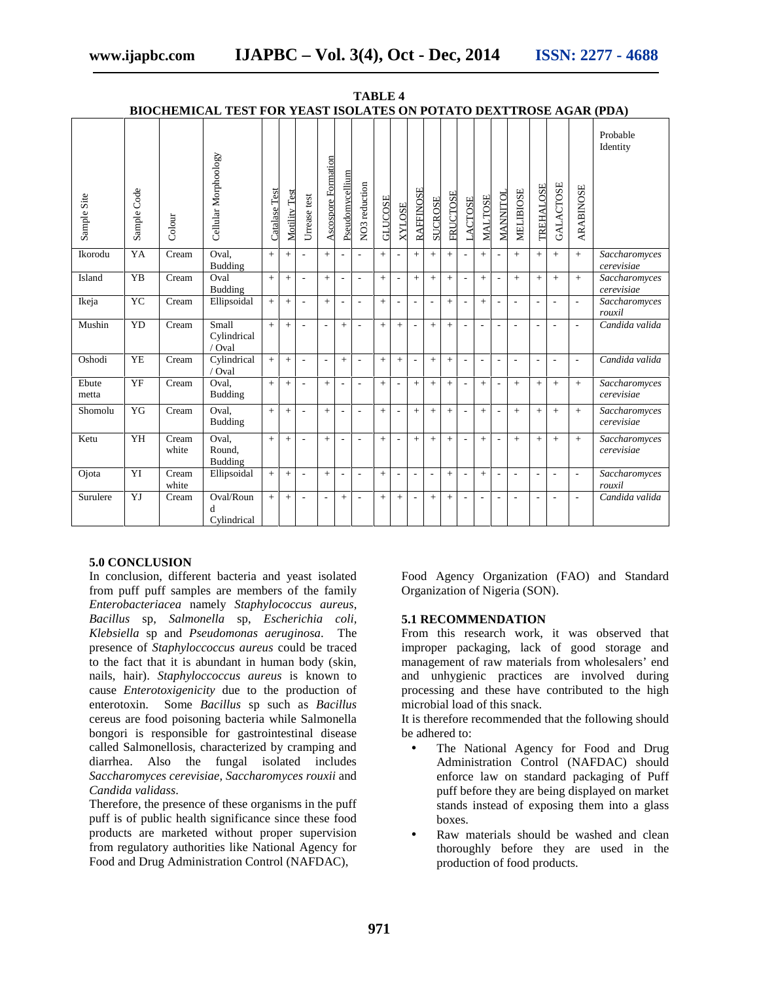|                |             |                | DIOCHEMICAL TEST FON TEAST ISOLATES ON FOTATO DEATTINOSE AGAN (FDA) |               |               |                          |                          |                          |                          |                |                          |                          |                          |                 |                          |                |                          |                          |                          |                          |                          |                             |
|----------------|-------------|----------------|---------------------------------------------------------------------|---------------|---------------|--------------------------|--------------------------|--------------------------|--------------------------|----------------|--------------------------|--------------------------|--------------------------|-----------------|--------------------------|----------------|--------------------------|--------------------------|--------------------------|--------------------------|--------------------------|-----------------------------|
| Sample Site    | Sample Code | Colour         | Cellular Morphoology                                                | Catalase Test | Motility Test | Urrease test             | Ascospore Formation      | Pseudomycellium          | NO3 reduction            | <b>GLUCOSE</b> | <b>XYLOSE</b>            | <b>RAFFINOSE</b>         | <b>SUCROSE</b>           | <b>FRUCTOSE</b> | <b>LACTOSE</b>           | <b>MALTOSE</b> | MANNITOL                 | <b>MELIBIOSE</b>         | <b>TREHALOSE</b>         | <b>GALACTOSE</b>         | <b>ARABINOSE</b>         | Probable<br>Identity        |
| Ikorodu        | YA          | Cream          | Oval,<br><b>Budding</b>                                             | $+$           | $+$           | $\blacksquare$           | $+$                      | $\sim$                   | ÷,                       | $+$            |                          | $+$                      | $+$                      | $^{+}$          |                          | $+$            |                          | $+$                      | $+$                      | $+$                      | $+$                      | Saccharomyces<br>cerevisiae |
| Island         | YB          | Cream          | Oval<br><b>Budding</b>                                              | $+$           | $+$           | $\overline{\phantom{a}}$ | $+$                      | $\sim$                   | ÷,                       | $+$            | $\overline{\phantom{a}}$ | $+$                      | $+$                      | $+$             | $\overline{\phantom{a}}$ | $+$            | $\overline{\phantom{a}}$ | $+$                      | $+$                      | $+$                      | $+$                      | Saccharomyces<br>cerevisiae |
| Ikeja          | YC          | Cream          | Ellipsoidal                                                         | $+$           | $+$           | $\overline{\phantom{a}}$ | $\ddot{}$                | $\overline{\phantom{a}}$ | ÷,                       | $+$            |                          |                          |                          | $\! +$          | $\overline{a}$           | $\! +$         | $\overline{a}$           | $\overline{a}$           | ٠                        | ä,                       | $\overline{\phantom{a}}$ | Saccharomyces<br>rouxil     |
| Mushin         | YD          | Cream          | Small<br>Cylindrical<br>/ Oval                                      | $+$           | $+$           | $\blacksquare$           | $\blacksquare$           | $\ddot{}$                | ÷,                       | $+$            | $+$                      | ٠                        | $+$                      | $+$             | $\overline{\phantom{a}}$ | ٠              | ٠                        | $\overline{a}$           | $\overline{\phantom{a}}$ | ä,                       | $\overline{\phantom{a}}$ | Candida valida              |
| Oshodi         | <b>YE</b>   | Cream          | Cylindrical<br>/ Oval                                               | $+$           | $+$           | $\overline{\phantom{a}}$ | $\overline{\phantom{a}}$ | $\ddot{+}$               | ÷,                       | $+$            | $+$                      |                          | $+$                      | $+$             |                          |                |                          |                          |                          |                          | ÷,                       | Candida valida              |
| Ebute<br>metta | YF          | Cream          | Oval.<br><b>Budding</b>                                             | $\pm$         | $+$           | $\sim$                   | $+$                      | $\sim$                   | ÷,                       | $+$            | $\overline{\phantom{a}}$ | $+$                      | $+$                      | $+$             | $\overline{\phantom{a}}$ | $+$            | $\overline{a}$           | $^{+}$                   | $+$                      | $+$                      | $+$                      | Saccharomyces<br>cerevisiae |
| Shomolu        | YG          | Cream          | Oval.<br><b>Budding</b>                                             | $+$           | $+$           | ÷,                       | $+$                      | ÷,                       | $\overline{\phantom{a}}$ | $+$            |                          | $+$                      | $+$                      | $+$             |                          | $+$            | ٠                        | $+$                      | $+$                      | $+$                      | $+$                      | Saccharomyces<br>cerevisiae |
| Ketu           | YH          | Cream<br>white | Oval.<br>Round,<br>Budding                                          | $+$           | $+$           | $\overline{\phantom{a}}$ | $+$                      | $\overline{\phantom{a}}$ | $\overline{\phantom{a}}$ | $+$            |                          | $+$                      | $+$                      | $+$             |                          | $+$            |                          | $+$                      | $+$                      | $+$                      | $+$                      | Saccharomyces<br>cerevisiae |
| Ojota          | YI          | Cream<br>white | Ellipsoidal                                                         | $\pm$         | $+$           | $\sim$                   | $\, +$                   | $\sim$                   | $\overline{\phantom{a}}$ | $+$            | $\overline{\phantom{a}}$ | $\overline{\phantom{a}}$ | $\overline{\phantom{a}}$ | $^{+}$          | $\overline{\phantom{a}}$ | $^{+}$         | $\overline{\phantom{a}}$ | $\overline{\phantom{a}}$ | $\overline{\phantom{a}}$ | $\overline{\phantom{a}}$ | $\overline{\phantom{a}}$ | Saccharomyces<br>rouxil     |
| Surulere       | YJ          | Cream          | Oval/Roun<br>d<br>Cylindrical                                       | $+$           | $+$           | $\overline{\phantom{a}}$ | $\overline{\phantom{a}}$ | $+$                      | $\overline{a}$           | $+$            | $+$                      | ٠                        | $+$                      | $+$             | ٠                        | ٠              |                          | ٠                        | $\overline{\phantom{a}}$ | ÷,                       | ÷,                       | Candida valida              |

**TABLE 4 BIOCHEMICAL TEST FOR YEAST ISOLATES ON POTATO DEXTTROSE AGAR (PDA)**

#### **5.0 CONCLUSION**

In conclusion, different bacteria and yeast isolated from puff puff samples are members of the family *Enterobacteriacea* namely *Staphylococcus aureus*, *Bacillus* sp, *Salmonella* sp, *Escherichia coli, Klebsiella* sp and *Pseudomonas aeruginosa*. The presence of *Staphyloccoccus aureus* could be traced to the fact that it is abundant in human body (skin, nails, hair). *Staphyloccoccus aureus* is known to cause *Enterotoxigenicity* due to the production of enterotoxin. Some *Bacillus* sp such as *Bacillus* cereus are food poisoning bacteria while Salmonella bongori is responsible for gastrointestinal disease called Salmonellosis, characterized by cramping and diarrhea. Also the fungal isolated includes *Saccharomyces cerevisiae, Saccharomyces rouxii* and *Candida validass*.

Therefore, the presence of these organisms in the puff puff is of public health significance since these food products are marketed without proper supervision from regulatory authorities like National Agency for Food and Drug Administration Control (NAFDAC),

Food Agency Organization (FAO) and Standard Organization of Nigeria (SON).

#### **5.1 RECOMMENDATION**

From this research work, it was observed that improper packaging, lack of good storage and management of raw materials from wholesalers' end and unhygienic practices are involved during processing and these have contributed to the high microbial load of this snack.

It is therefore recommended that the following should be adhered to:

- The National Agency for Food and Drug Administration Control (NAFDAC) should enforce law on standard packaging of Puff puff before they are being displayed on market stands instead of exposing them into a glass boxes.
- Raw materials should be washed and clean thoroughly before they are used in the production of food products.